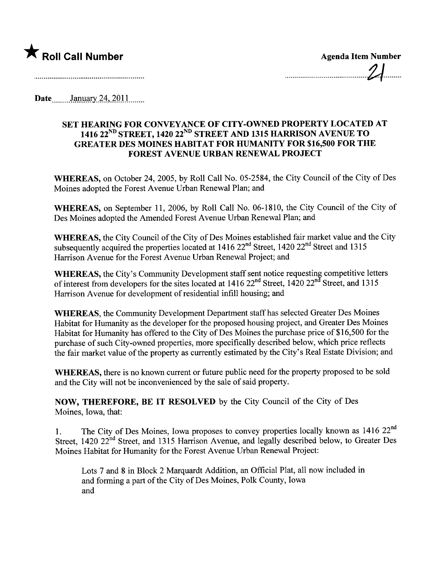

Date January 24,  $2011$ .......

## SET HEARING FOR CONVEYANCE OF CITY-OWNED PROPERTY LOCATED AT  $1416$   $22<sup>ND</sup>$  STREET,  $1420$   $22<sup>ND</sup>$  STREET AND 1315 HARRISON AVENUE TO GREATER DES MOINES HABITAT FOR HUMANITY FOR \$16,500 FOR THE FOREST AVENUE URBAN RENEWAL PROJECT

WHEREAS, on October 24, 2005, by Roll Call No. 05-2584, the City Council of the City of Des Moines adopted the Forest Avenue Urban Renewal Plan; and

WHEREAS, on September 11, 2006, by Roll Call No. 06-1810, the City Council of the City of Des Moines adopted the Amended Forest Avenue Urban Renewal Plan; and

WHEREAS, the City Council of the City of Des Moines established fair market value and the City subsequently acquired the properties located at 1416 22<sup>nd</sup> Street, 1420 22<sup>nd</sup> Street and 1315 Harison Avenue for the Forest Avenue Urban Renewal Project; and

WHEREAS, the City's Community Development staff sent notice requesting competitive letters of interest from developers for the sites located at 1416 22<sup>nd</sup> Street, 1420 22<sup>nd</sup> Street, and 1315 Harrison Avenue for development of residential infill housing; and

WHEREAS, the Community Development Department staff has selected Greater Des Moines Habitat for Humanity as the developer for the proposed housing project, and Greater Des Moines Habitat for Humanity has offered to the City of Des Moines the purchase price of \$16,500 for the purchase of such City-owned properties, more specifically described below, which price reflects the fair market value of the property as currently estimated by the City's Real Estate Division; and

WHEREAS, there is no known current or future public need for the property proposed to be sold and the City will not be inconvenienced by the sale of said property.

NOW, THEREFORE, BE IT RESOLVED by the City Council of the City of Des Moines, Iowa, that:

1. The City of Des Moines, Iowa proposes to convey properties locally known as 1416 22<sup>nd</sup> Street, 1420 22<sup>nd</sup> Street, and 1315 Harrison Avenue, and legally described below, to Greater Des Moines Habitat for Humanity for the Forest Avenue Urban Renewal Project:

Lots 7 and 8 in Block 2 Marquardt Addition, an Official Plat, all now included in and forming a part of the City of Des Moines, Polk County, Iowa and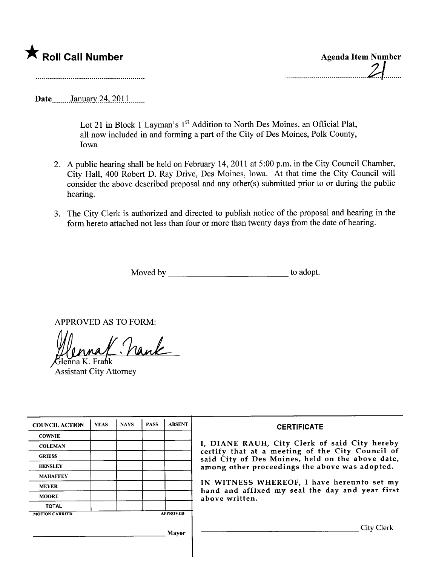

Date January 24,  $2011$ 

Lot 21 in Block 1 Layman's 1<sup>st</sup> Addition to North Des Moines, an Official Plat, all now included in and forming a part of the City of Des Moines, Polk County, Iowa

- 2. A public hearing shall be held on February 14, 2011 at 5:00 p.m. in the City Council Chamber, City Hall, 400 Robert D. Ray Drive, Des Moines, Iowa. At that time the City Council wil consider the above described proposal and any other(s) submitted prior to or during the public hearing.
- 3. The City Clerk is authorized and directed to publish notice of the proposal and hearing in the form hereto attached not less than four or more than twenty days from the date of hearing.

Moved by to adopt.

APPROVED AS TO FORM:

~,~lenna K. Fra Assistant City Attorney

| <b>COUNCIL ACTION</b> | <b>YEAS</b> | <b>NAYS</b> | <b>PASS</b> | <b>ABSENT</b>   | <b>CERTIFICATE</b>                                                                                                                                                                                                                                                                                                         |
|-----------------------|-------------|-------------|-------------|-----------------|----------------------------------------------------------------------------------------------------------------------------------------------------------------------------------------------------------------------------------------------------------------------------------------------------------------------------|
| <b>COWNIE</b>         |             |             |             |                 | I, DIANE RAUH, City Clerk of said City hereby<br>certify that at a meeting of the City Council of<br>said City of Des Moines, held on the above date,<br>among other proceedings the above was adopted.<br>IN WITNESS WHEREOF, I have hereunto set my<br>hand and affixed my seal the day and year first<br>above written. |
| <b>COLEMAN</b>        |             |             |             |                 |                                                                                                                                                                                                                                                                                                                            |
| <b>GRIESS</b>         |             |             |             |                 |                                                                                                                                                                                                                                                                                                                            |
| <b>HENSLEY</b>        |             |             |             |                 |                                                                                                                                                                                                                                                                                                                            |
| <b>MAHAFFEY</b>       |             |             |             |                 |                                                                                                                                                                                                                                                                                                                            |
| <b>MEYER</b>          |             |             |             |                 |                                                                                                                                                                                                                                                                                                                            |
| <b>MOORE</b>          |             |             |             |                 |                                                                                                                                                                                                                                                                                                                            |
| <b>TOTAL</b>          |             |             |             |                 |                                                                                                                                                                                                                                                                                                                            |
| <b>MOTION CARRIED</b> |             |             |             | <b>APPROVED</b> |                                                                                                                                                                                                                                                                                                                            |
|                       |             |             |             | Mayor           | City Clerk                                                                                                                                                                                                                                                                                                                 |